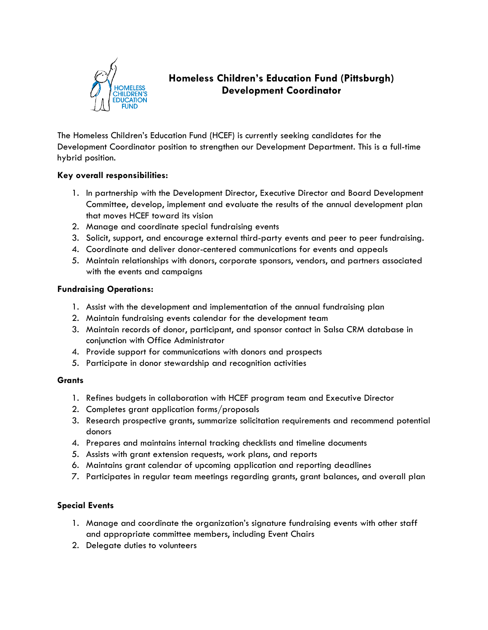

# **Homeless Children's Education Fund (Pittsburgh) Development Coordinator**

The Homeless Children's Education Fund (HCEF) is currently seeking candidates for the Development Coordinator position to strengthen our Development Department. This is a full-time hybrid position.

### **Key overall responsibilities:**

- 1. In partnership with the Development Director, Executive Director and Board Development Committee, develop, implement and evaluate the results of the annual development plan that moves HCEF toward its vision
- 2. Manage and coordinate special fundraising events
- 3. Solicit, support, and encourage external third-party events and peer to peer fundraising.
- 4. Coordinate and deliver donor-centered communications for events and appeals
- 5. Maintain relationships with donors, corporate sponsors, vendors, and partners associated with the events and campaigns

### **Fundraising Operations:**

- 1. Assist with the development and implementation of the annual fundraising plan
- 2. Maintain fundraising events calendar for the development team
- 3. Maintain records of donor, participant, and sponsor contact in Salsa CRM database in conjunction with Office Administrator
- 4. Provide support for communications with donors and prospects
- 5. Participate in donor stewardship and recognition activities

### **Grants**

- 1. Refines budgets in collaboration with HCEF program team and Executive Director
- 2. Completes grant application forms/proposals
- 3. Research prospective grants, summarize solicitation requirements and recommend potential donors
- 4. Prepares and maintains internal tracking checklists and timeline documents
- 5. Assists with grant extension requests, work plans, and reports
- 6. Maintains grant calendar of upcoming application and reporting deadlines
- 7. Participates in regular team meetings regarding grants, grant balances, and overall plan

## **Special Events**

- 1. Manage and coordinate the organization's signature fundraising events with other staff and appropriate committee members, including Event Chairs
- 2. Delegate duties to volunteers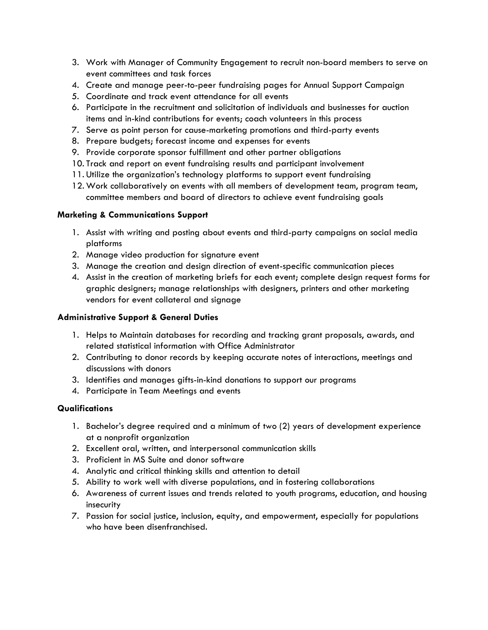- 3. Work with Manager of Community Engagement to recruit non-board members to serve on event committees and task forces
- 4. Create and manage peer-to-peer fundraising pages for Annual Support Campaign
- 5. Coordinate and track event attendance for all events
- 6. Participate in the recruitment and solicitation of individuals and businesses for auction items and in-kind contributions for events; coach volunteers in this process
- 7. Serve as point person for cause-marketing promotions and third-party events
- 8. Prepare budgets; forecast income and expenses for events
- 9. Provide corporate sponsor fulfillment and other partner obligations
- 10. Track and report on event fundraising results and participant involvement
- 11. Utilize the organization's technology platforms to support event fundraising
- 12. Work collaboratively on events with all members of development team, program team, committee members and board of directors to achieve event fundraising goals

### **Marketing & Communications Support**

- 1. Assist with writing and posting about events and third-party campaigns on social media platforms
- 2. Manage video production for signature event
- 3. Manage the creation and design direction of event-specific communication pieces
- 4. Assist in the creation of marketing briefs for each event; complete design request forms for graphic designers; manage relationships with designers, printers and other marketing vendors for event collateral and signage

### **Administrative Support & General Duties**

- 1. Helps to Maintain databases for recording and tracking grant proposals, awards, and related statistical information with Office Administrator
- 2. Contributing to donor records by keeping accurate notes of interactions, meetings and discussions with donors
- 3. Identifies and manages gifts-in-kind donations to support our programs
- 4. Participate in Team Meetings and events

### **Qualifications**

- 1. Bachelor's degree required and a minimum of two (2) years of development experience at a nonprofit organization
- 2. Excellent oral, written, and interpersonal communication skills
- 3. Proficient in MS Suite and donor software
- 4. Analytic and critical thinking skills and attention to detail
- 5. Ability to work well with diverse populations, and in fostering collaborations
- 6. Awareness of current issues and trends related to youth programs, education, and housing insecurity
- 7. Passion for social justice, inclusion, equity, and empowerment, especially for populations who have been disenfranchised.